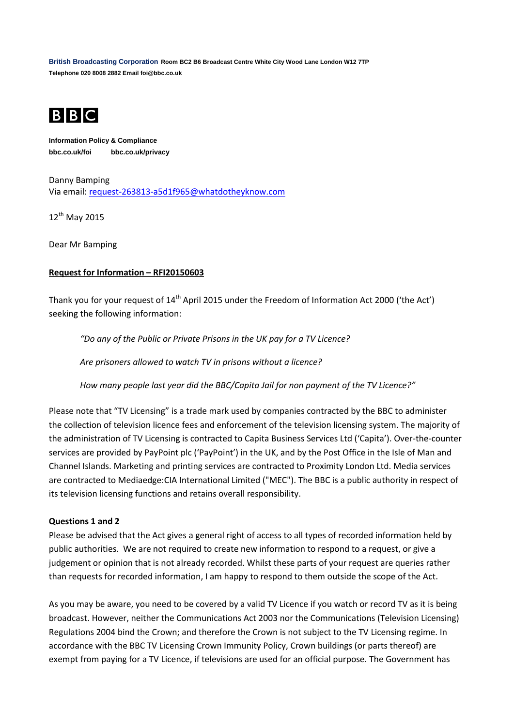**British Broadcasting Corporation Room BC2 B6 Broadcast Centre White City Wood Lane London W12 7TP Telephone 020 8008 2882 Email foi@bbc.co.uk**



**Information Policy & Compliance bbc.co.uk/foi bbc.co.uk/privacy**

Danny Bamping Via email: [request-263813-a5d1f965@whatdotheyknow.com](mailto:xxxxxxxxxxxxxxxxxxxxxxx@xxxxxxxxxxxxxx.xxx)

12<sup>th</sup> May 2015

Dear Mr Bamping

## **Request for Information – RFI20150603**

Thank you for your request of 14<sup>th</sup> April 2015 under the Freedom of Information Act 2000 ('the Act') seeking the following information:

*"Do any of the Public or Private Prisons in the UK pay for a TV Licence?*

*Are prisoners allowed to watch TV in prisons without a licence?*

*How many people last year did the BBC/Capita Jail for non payment of the TV Licence?"*

Please note that "TV Licensing" is a trade mark used by companies contracted by the BBC to administer the collection of television licence fees and enforcement of the television licensing system. The majority of the administration of TV Licensing is contracted to Capita Business Services Ltd ('Capita'). Over-the-counter services are provided by PayPoint plc ('PayPoint') in the UK, and by the Post Office in the Isle of Man and Channel Islands. Marketing and printing services are contracted to Proximity London Ltd. Media services are contracted to Mediaedge:CIA International Limited ("MEC"). The BBC is a public authority in respect of its television licensing functions and retains overall responsibility.

## **Questions 1 and 2**

Please be advised that the Act gives a general right of access to all types of recorded information held by public authorities. We are not required to create new information to respond to a request, or give a judgement or opinion that is not already recorded. Whilst these parts of your request are queries rather than requests for recorded information, I am happy to respond to them outside the scope of the Act.

As you may be aware, you need to be covered by a valid TV Licence if you watch or record TV as it is being broadcast. However, neither the Communications Act 2003 nor the Communications (Television Licensing) Regulations 2004 bind the Crown; and therefore the Crown is not subject to the TV Licensing regime. In accordance with the BBC TV Licensing Crown Immunity Policy, Crown buildings (or parts thereof) are exempt from paying for a TV Licence, if televisions are used for an official purpose. The Government has